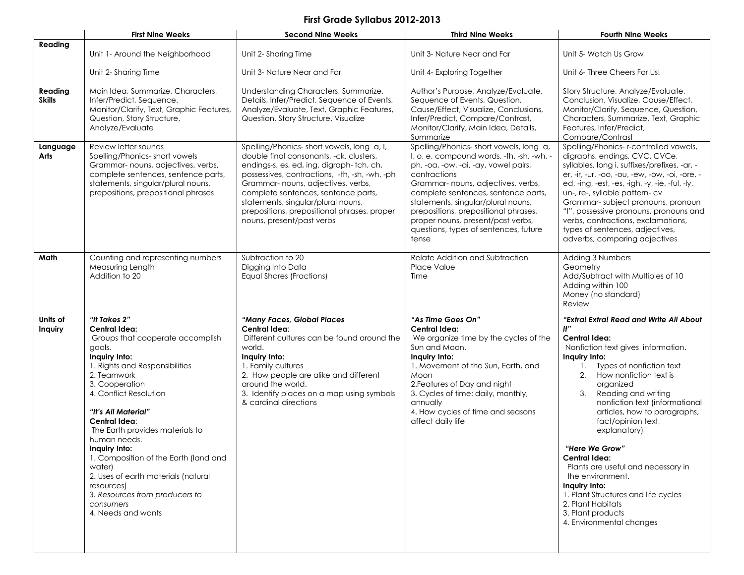## First Grade Syllabus 2012-2013

|                          | <b>First Nine Weeks</b>                                                                                                                                                                                                                                                                                                                                                                                                                                                            | <b>Second Nine Weeks</b>                                                                                                                                                                                                                                                                                                                                                         | <b>Third Nine Weeks</b>                                                                                                                                                                                                                                                                                                                                                                       | <b>Fourth Nine Weeks</b>                                                                                                                                                                                                                                                                                                                                                                                                                                                                                                                                                     |  |
|--------------------------|------------------------------------------------------------------------------------------------------------------------------------------------------------------------------------------------------------------------------------------------------------------------------------------------------------------------------------------------------------------------------------------------------------------------------------------------------------------------------------|----------------------------------------------------------------------------------------------------------------------------------------------------------------------------------------------------------------------------------------------------------------------------------------------------------------------------------------------------------------------------------|-----------------------------------------------------------------------------------------------------------------------------------------------------------------------------------------------------------------------------------------------------------------------------------------------------------------------------------------------------------------------------------------------|------------------------------------------------------------------------------------------------------------------------------------------------------------------------------------------------------------------------------------------------------------------------------------------------------------------------------------------------------------------------------------------------------------------------------------------------------------------------------------------------------------------------------------------------------------------------------|--|
| Reading                  | Unit 1- Around the Neighborhood                                                                                                                                                                                                                                                                                                                                                                                                                                                    | Unit 2- Sharing Time                                                                                                                                                                                                                                                                                                                                                             | Unit 3- Nature Near and Far                                                                                                                                                                                                                                                                                                                                                                   | Unit 5- Watch Us Grow<br>Unit 6- Three Cheers For Us!                                                                                                                                                                                                                                                                                                                                                                                                                                                                                                                        |  |
|                          | Unit 2- Sharing Time                                                                                                                                                                                                                                                                                                                                                                                                                                                               | Unit 3- Nature Near and Far                                                                                                                                                                                                                                                                                                                                                      | Unit 4- Exploring Together                                                                                                                                                                                                                                                                                                                                                                    |                                                                                                                                                                                                                                                                                                                                                                                                                                                                                                                                                                              |  |
| Reading<br><b>Skills</b> | Main Idea, Summarize, Characters,<br>Infer/Predict, Sequence,<br>Monitor/Clarify, Text, Graphic Features,<br>Question, Story Structure,<br>Analyze/Evaluate                                                                                                                                                                                                                                                                                                                        | Understanding Characters, Summarize,<br>Details, Infer/Predict, Sequence of Events,<br>Analyze/Evaluate, Text, Graphic Features,<br>Question, Story Structure, Visualize                                                                                                                                                                                                         | Author's Purpose, Analyze/Evaluate,<br>Sequence of Events, Question,<br>Cause/Effect, Visualize, Conclusions,<br>Infer/Predict, Compare/Contrast,<br>Monitor/Clarify, Main Idea, Details,<br>Summarize                                                                                                                                                                                        | Story Structure, Analyze/Evaluate,<br>Conclusion, Visualize, Cause/Effect,<br>Monitor/Clarify, Sequence, Question,<br>Characters, Summarize, Text, Graphic<br>Features, Infer/Predict,<br>Compare/Contrast                                                                                                                                                                                                                                                                                                                                                                   |  |
| Language<br>Arts         | Review letter sounds<br>Spelling/Phonics-short vowels<br>Grammar- nouns, adjectives, verbs,<br>complete sentences, sentence parts,<br>statements, singular/plural nouns,<br>prepositions, prepositional phrases                                                                                                                                                                                                                                                                    | Spelling/Phonics-short vowels, long a, I,<br>double final consonants, -ck, clusters,<br>endings-s, es, ed, ing, digraph-tch, ch,<br>possessives, contractions, -th, -sh, -wh, -ph<br>Grammar- nouns, adjectives, verbs,<br>complete sentences, sentence parts,<br>statements, singular/plural nouns,<br>prepositions, prepositional phrases, proper<br>nouns, present/past verbs | Spelling/Phonics-short vowels, long a,<br>I, o, e, compound words, -th, -sh, -wh, -<br>ph, -oa, -ow, -ai, -ay, vowel pairs,<br>contractions<br>Grammar- nouns, adjectives, verbs,<br>complete sentences, sentence parts,<br>statements, singular/plural nouns,<br>prepositions, prepositional phrases,<br>proper nouns, present/past verbs,<br>questions, types of sentences, future<br>tense | Spelling/Phonics-r-controlled vowels,<br>digraphs, endings, CVC, CVCe,<br>syllables, long i, suffixes/prefixes, -ar, -<br>er, -ir, -ur, -oo, -ou, -ew, -ow, -oi, -ore, -<br>ed, -ing, -est, -es, -igh, -y, -ie, -ful, -ly,<br>un-, re-, syllable pattern-cv<br>Grammar-subject pronouns, pronoun<br>"I", possessive pronouns, pronouns and<br>verbs, contractions, exclamations,<br>types of sentences, adjectives,<br>adverbs, comparing adjectives                                                                                                                         |  |
| Math                     | Counting and representing numbers<br>Measuring Length<br>Addition to 20                                                                                                                                                                                                                                                                                                                                                                                                            | Subtraction to 20<br>Digging Into Data<br>Equal Shares (Fractions)                                                                                                                                                                                                                                                                                                               | Relate Addition and Subtraction<br>Place Value<br>Time                                                                                                                                                                                                                                                                                                                                        | Adding 3 Numbers<br>Geometry<br>Add/Subtract with Multiples of 10<br>Adding within 100<br>Money (no standard)<br>Review                                                                                                                                                                                                                                                                                                                                                                                                                                                      |  |
| Units of<br>Inquiry      | "It Takes 2"<br>Central Idea:<br>Groups that cooperate accomplish<br>goals.<br>Inquiry Into:<br>1. Rights and Responsibilities<br>2. Teamwork<br>3. Cooperation<br>4. Conflict Resolution<br>"It's All Material"<br>Central Idea:<br>The Earth provides materials to<br>human needs.<br>Inquiry Into:<br>1. Composition of the Earth (land and<br>water)<br>2. Uses of earth materials (natural<br>resources)<br>3. Resources from producers to<br>consumers<br>4. Needs and wants | "Many Faces, Global Places<br>Central Idea:<br>Different cultures can be found around the<br>world.<br>Inquiry Into:<br>1. Family cultures<br>2. How people are alike and different<br>around the world.<br>3. Identify places on a map using symbols<br>& cardinal directions                                                                                                   | "As Time Goes On"<br>Central Idea:<br>We organize time by the cycles of the<br>Sun and Moon.<br>Inquiry Into:<br>1. Movement of the Sun, Earth, and<br>Moon<br>2. Features of Day and night<br>3. Cycles of time: daily, monthly,<br>annually<br>4. How cycles of time and seasons<br>affect daily life                                                                                       | "Extra! Extra! Read and Write All About<br>H''<br><b>Central Idea:</b><br>Nonfiction text gives information.<br>Inquiry Into:<br>Types of nonfiction text<br>1.<br>2.<br>How nonfiction text is<br>organized<br>3.<br>Reading and writing<br>nonfiction text (informational<br>articles, how to paragraphs,<br>fact/opinion text,<br>explanatory)<br>"Here We Grow"<br>Central Idea:<br>Plants are useful and necessary in<br>the environment.<br>Inquiry Into:<br>1. Plant Structures and life cycles<br>2. Plant Habitats<br>3. Plant products<br>4. Environmental changes |  |